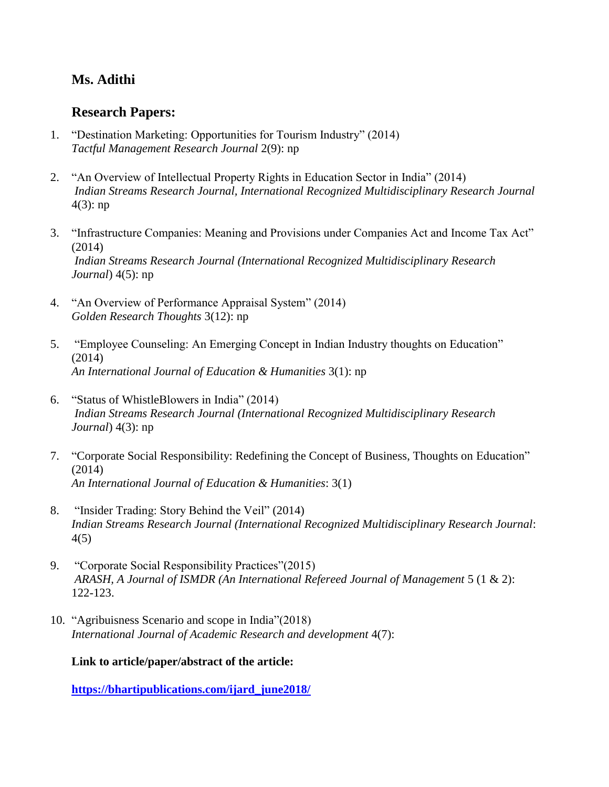## **Ms. Adithi**

## **Research Papers:**

- 1. "Destination Marketing: Opportunities for Tourism Industry" (2014) *Tactful Management Research Journal* 2(9): np
- 2. "An Overview of Intellectual Property Rights in Education Sector in India" (2014) *Indian Streams Research Journal, International Recognized Multidisciplinary Research Journal* 4(3): np
- 3. "Infrastructure Companies: Meaning and Provisions under Companies Act and Income Tax Act" (2014) *Indian Streams Research Journal (International Recognized Multidisciplinary Research Journal*) 4(5): np
- 4. "An Overview of Performance Appraisal System" (2014) *Golden Research Thoughts* 3(12): np
- 5. "Employee Counseling: An Emerging Concept in Indian Industry thoughts on Education" (2014) *An International Journal of Education & Humanities* 3(1): np
- 6. "Status of WhistleBlowers in India" (2014) *Indian Streams Research Journal (International Recognized Multidisciplinary Research Journal*) 4(3): np
- 7. "Corporate Social Responsibility: Redefining the Concept of Business, Thoughts on Education" (2014) *An International Journal of Education & Humanities*: 3(1)
- 8. "Insider Trading: Story Behind the Veil" (2014) *Indian Streams Research Journal (International Recognized Multidisciplinary Research Journal*: 4(5)
- 9. "Corporate Social Responsibility Practices"(2015) *ARASH, A Journal of ISMDR (An International Refereed Journal of Management* 5 (1 & 2): 122-123.
- 10. "Agribuisness Scenario and scope in India"(2018) *International Journal of Academic Research and development* 4(7):

**Link to article/paper/abstract of the article:**

**[https://bhartipublications.com/ijard\\_june2018/](https://bhartipublications.com/ijard_june2018/)**